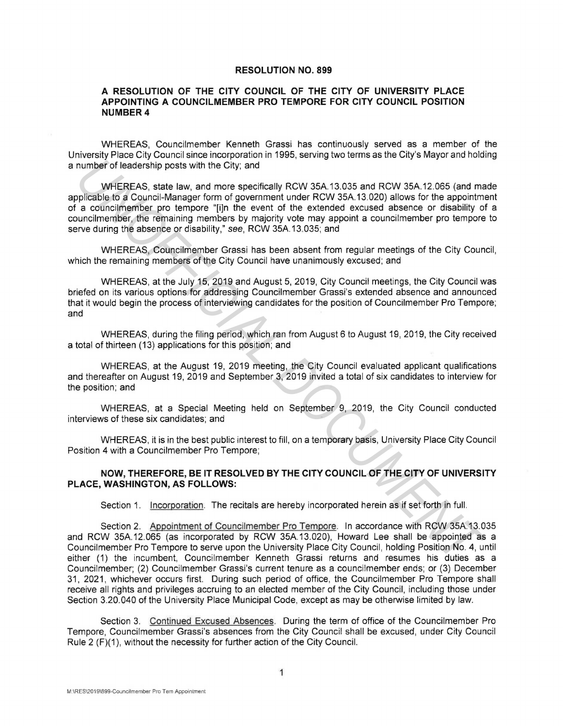## **RESOLUTION NO. 899**

## **A RESOLUTION OF THE CITY COUNCIL OF THE CITY OF UNIVERSITY PLACE APPOINTING A COUNCILMEMBER PRO TEMPORE FOR CITY COUNCIL POSITION NUMBER4**

WHEREAS, Councilmember Kenneth Grassi has continuously served as a member of the University Place City Council since incorporation in 1995, serving two terms as the City's Mayor and holding a number of leadership posts with the City; and

WHEREAS, state law, and more specifically RCW 35A.13.035 and RCW 35A.12.065 (and made applicable to a Council-Manager form of government under RCW 35A.13.020) allows for the appointment of a councilmember pro tempore "[i]n the event of the extended excused absence or disability of a councilmember, the remaining members by majority vote may appoint a councilmember pro tempore to serve during the absence or disability," see, RCW 35A.13.035; and **number of leadership posts with the City; and<br>
WHEREAS, tatte law, and more specifically RCW 35A 13.035 and RCW 35A 12.085 (and my<br>
pplicable ko a Council-Manager form of government under RCW 35A 13.020) allows for the ap** 

WHEREAS, Councilmember Grassi has been absent from regular meetings of the City Council, which the remaining members of the City Council have unanimously excused; and

WHEREAS, at the July 15, 2019 and August 5, 2019, City Council meetings, the City Council was briefed on its various options for addressing Councilmember Grassi's extended absence and announced that it would begin the process of interviewing candidates for the position of Councilmember Pro Tempore; and

WHEREAS, during the filing period, which ran from August 6 to August 19, 2019, the City received a total of thirteen (13) applications for this position; and

WHEREAS, at the August 19, 2019 meeting, the City Council evaluated applicant qualifications and thereafter on August 19, 2019 and September 3, 2019 invited a total of six candidates to interview for the position; and

WHEREAS, at a Special Meeting held on September 9, 2019, the City Council conducted interviews of these six candidates; and

WHEREAS, it is in the best public interest to fill, on a temporary basis, University Place City Council Position 4 with a Councilmember Pro Tempore;

## **NOW, THEREFORE, BE IT RESOLVED BY THE CITY COUNCIL OF THE CITY OF UNIVERSITY PLACE, WASHINGTON, AS FOLLOWS:**

Section 1. Incorporation. The recitals are hereby incorporated herein as if set forth in full.

Section 2. Appointment of Councilmember Pro Tempore. In accordance with RCW 35A.13.035 and RCW 35A.12.065 (as incorporated by RCW 35A.13.020), Howard Lee shall be appointed as a Councilmember Pro Tempore to serve upon the University Place City Council, holding Position No. 4, until either (1) the incumbent, Councilmember Kenneth Grassi returns and resumes his duties as a Councilmember; (2) Councilmember Grassi's current tenure as a councilmember ends; or (3) December 31, 2021 , whichever occurs first. During such period of office, the Councilmember Pro Tempore shall receive all rights and privileges accruing to an elected member of the City Council, including those under Section 3.20.040 of the University Place Municipal Code, except as may be otherwise limited by law.

Section 3. Continued Excused Absences. During the term of office of the Councilmember Pro Tempore, Councilmember Grassi's absences from the City Council shall be excused, under City Council Rule 2 (F)(1), without the necessity for further action of the City Council.